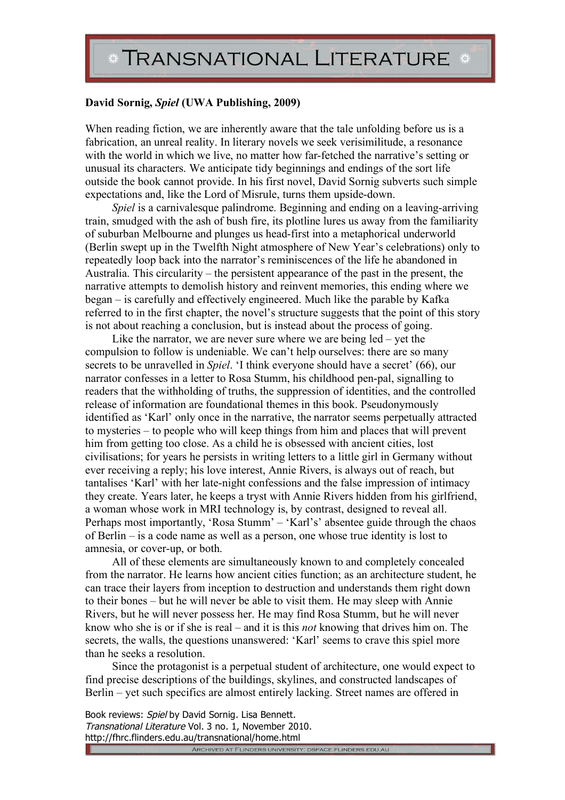## **David Sornig,** *Spiel* **(UWA Publishing, 2009)**

When reading fiction, we are inherently aware that the tale unfolding before us is a fabrication, an unreal reality. In literary novels we seek verisimilitude, a resonance with the world in which we live, no matter how far-fetched the narrative's setting or unusual its characters. We anticipate tidy beginnings and endings of the sort life outside the book cannot provide. In his first novel, David Sornig subverts such simple expectations and, like the Lord of Misrule, turns them upside-down.

*Spiel* is a carnivalesque palindrome. Beginning and ending on a leaving-arriving train, smudged with the ash of bush fire, its plotline lures us away from the familiarity of suburban Melbourne and plunges us head-first into a metaphorical underworld (Berlin swept up in the Twelfth Night atmosphere of New Year's celebrations) only to repeatedly loop back into the narrator's reminiscences of the life he abandoned in Australia. This circularity – the persistent appearance of the past in the present, the narrative attempts to demolish history and reinvent memories, this ending where we began – is carefully and effectively engineered. Much like the parable by Kafka referred to in the first chapter, the novel's structure suggests that the point of this story is not about reaching a conclusion, but is instead about the process of going.

Like the narrator, we are never sure where we are being led – yet the compulsion to follow is undeniable. We can't help ourselves: there are so many secrets to be unravelled in *Spiel*. 'I think everyone should have a secret' (66), our narrator confesses in a letter to Rosa Stumm, his childhood pen-pal, signalling to readers that the withholding of truths, the suppression of identities, and the controlled release of information are foundational themes in this book. Pseudonymously identified as 'Karl' only once in the narrative, the narrator seems perpetually attracted to mysteries – to people who will keep things from him and places that will prevent him from getting too close. As a child he is obsessed with ancient cities, lost civilisations; for years he persists in writing letters to a little girl in Germany without ever receiving a reply; his love interest, Annie Rivers, is always out of reach, but tantalises 'Karl' with her late-night confessions and the false impression of intimacy they create. Years later, he keeps a tryst with Annie Rivers hidden from his girlfriend, a woman whose work in MRI technology is, by contrast, designed to reveal all. Perhaps most importantly, 'Rosa Stumm' – 'Karl's' absentee guide through the chaos of Berlin – is a code name as well as a person, one whose true identity is lost to amnesia, or cover-up, or both.

All of these elements are simultaneously known to and completely concealed from the narrator. He learns how ancient cities function; as an architecture student, he can trace their layers from inception to destruction and understands them right down to their bones – but he will never be able to visit them. He may sleep with Annie Rivers, but he will never possess her. He may find Rosa Stumm, but he will never know who she is or if she is real – and it is this *not* knowing that drives him on. The secrets, the walls, the questions unanswered: 'Karl' seems to crave this spiel more than he seeks a resolution.

Since the protagonist is a perpetual student of architecture, one would expect to find precise descriptions of the buildings, skylines, and constructed landscapes of Berlin – yet such specifics are almost entirely lacking. Street names are offered in

Book reviews: Spiel by David Sornig. Lisa Bennett. Transnational Literature Vol. 3 no. 1, November 2010. http://fhrc.flinders.edu.au/transnational/home.html